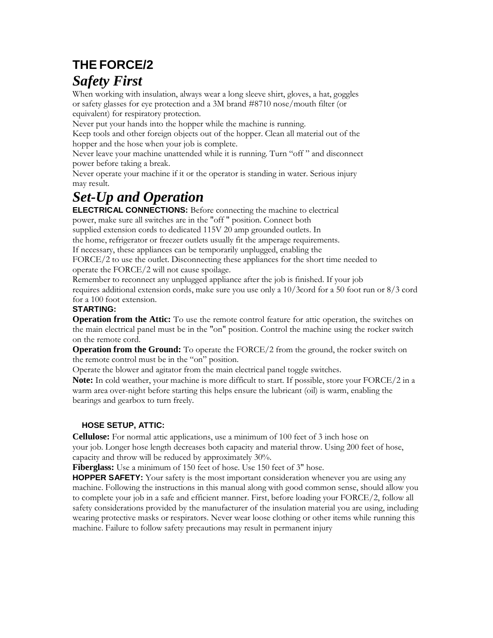## **THE FORCE/2** *Safety First*

When working with insulation, always wear a long sleeve shirt, gloves, a hat, goggles or safety glasses for eye protection and a 3M brand #8710 nose/mouth filter (or equivalent) for respiratory protection.

Never put your hands into the hopper while the machine is running.

Keep tools and other foreign objects out of the hopper. Clean all material out of the hopper and the hose when your job is complete.

Never leave your machine unattended while it is running. Turn "off " and disconnect power before taking a break.

Never operate your machine if it or the operator is standing in water. Serious injury may result.

# *Set-Up and Operation*

**ELECTRICAL CONNECTIONS:** Before connecting the machine to electrical power, make sure all switches are in the "off " position. Connect both

supplied extension cords to dedicated 115V 20 amp grounded outlets. In

the home, refrigerator or freezer outlets usually fit the amperage requirements.

If necessary, these appliances can be temporarily unplugged, enabling the

FORCE/2 to use the outlet. Disconnecting these appliances for the short time needed to operate the FORCE/2 will not cause spoilage.

Remember to reconnect any unplugged appliance after the job is finished. If your job requires additional extension cords, make sure you use only a 10/3cord for a 50 foot run or 8/3 cord for a 100 foot extension.

#### **STARTING:**

**Operation from the Attic:** To use the remote control feature for attic operation, the switches on the main electrical panel must be in the "on" position. Control the machine using the rocker switch on the remote cord.

**Operation from the Ground:** To operate the FORCE/2 from the ground, the rocker switch on the remote control must be in the "on" position.

Operate the blower and agitator from the main electrical panel toggle switches.

**Note:** In cold weather, your machine is more difficult to start. If possible, store your FORCE/2 in a warm area over-night before starting this helps ensure the lubricant (oil) is warm, enabling the bearings and gearbox to turn freely.

### **HOSE SETUP, ATTIC:**

**Cellulose:** For normal attic applications, use a minimum of 100 feet of 3 inch hose on your job. Longer hose length decreases both capacity and material throw. Using 200 feet of hose, capacity and throw will be reduced by approximately 30%.

**Fiberglass:** Use a minimum of 150 feet of hose. Use 150 feet of 3" hose.

**HOPPER SAFETY:** Your safety is the most important consideration whenever you are using any machine. Following the instructions in this manual along with good common sense, should allow you to complete your job in a safe and efficient manner. First, before loading your FORCE/2, follow all safety considerations provided by the manufacturer of the insulation material you are using, including wearing protective masks or respirators. Never wear loose clothing or other items while running this machine. Failure to follow safety precautions may result in permanent injury